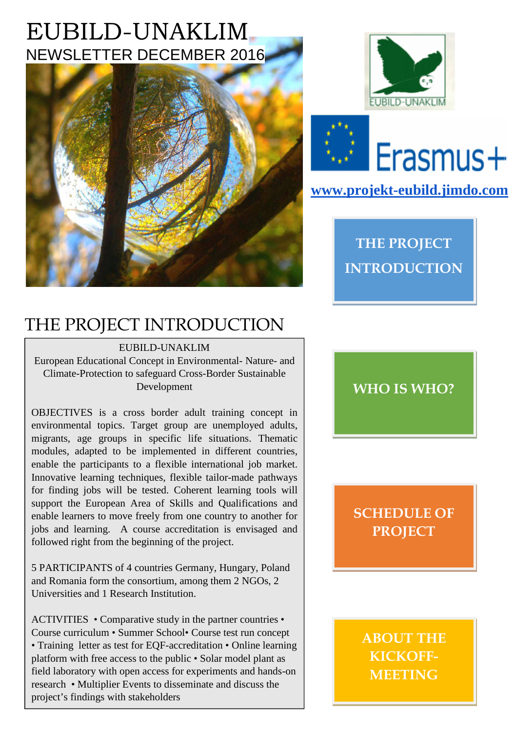# EUBILD-UNAKLIM NEWSLETTER DECEMBER 2016







#### **www.projekt-eubild.jimdo.com**

**THE PROJECT INTRODUCTION** 

### THE PROJECT INTRODUCTION

#### EUBILD-UNAKLIM

European Educational Concept in Environmental- Nature- and Climate-Protection to safeguard Cross-Border Sustainable Development

OBJECTIVES is a cross border adult training concept in environmental topics. Target group are unemployed adults, migrants, age groups in specific life situations. Thematic modules, adapted to be implemented in different countries, enable the participants to a flexible international job market. Innovative learning techniques, flexible tailor-made pathways for finding jobs will be tested. Coherent learning tools will support the European Area of Skills and Qualifications and enable learners to move freely from one country to another for jobs and learning. A course accreditation is envisaged and followed right from the beginning of the project.

5 PARTICIPANTS of 4 countries Germany, Hungary, Poland and Romania form the consortium, among them 2 NGOs, 2 Universities and 1 Research Institution.

ACTIVITIES • Comparative study in the partner countries • Course curriculum • Summer School• Course test run concept • Training letter as test for EQF-accreditation • Online learning platform with free access to the public • Solar model plant as field laboratory with open access for experiments and hands-on research • Multiplier Events to disseminate and discuss the project's findings with stakeholders

**WHO IS WHO?** 

#### **SCHEDULE OF PROJECT**

**ABOUT THE KICKOFF-MEETING**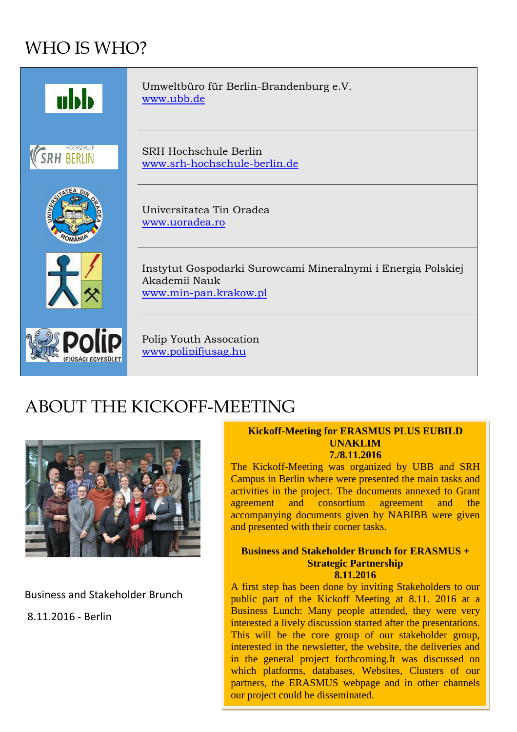## WHO IS WHO?



### ABOUT THE KICKOFF-MEETING



Business and Stakeholder Brunch

8.11.2016 - Berlin

#### **Kickoff-Meeting for ERASMUS PLUS EUBILD UNAKLIM 7./8.11.2016**

The Kickoff-Meeting was organized by UBB and SRH Campus in Berlin where were presented the main tasks and activities in the project. The documents annexed to Grant agreement and consortium agreement and the accompanying documents given by NABIBB were given and presented with their corner tasks.

#### **Business and Stakeholder Brunch for ERASMUS + Strategic Partnership 8.11.2016**

A first step has been done by inviting Stakeholders to our public part of the Kickoff Meeting at 8.11. 2016 at a Business Lunch: Many people attended, they were very interested a lively discussion started after the presentations. This will be the core group of our stakeholder group, interested in the newsletter, the website, the deliveries and in the general project forthcoming.It was discussed on which platforms, databases, Websites, Clusters of our partners, the ERASMUS webpage and in other channels our project could be disseminated.